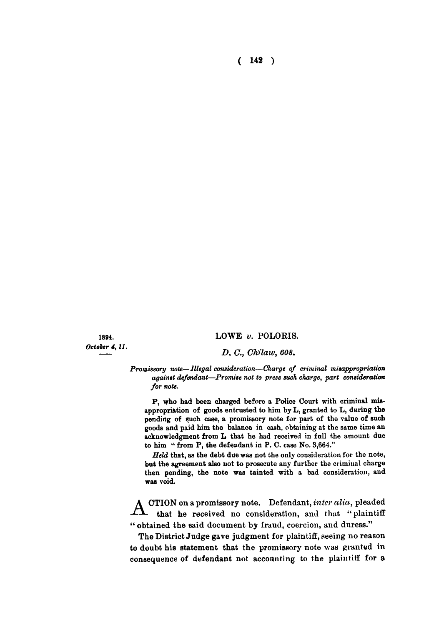**( 142 )** 

*October 4,11.* 

## **1894. LOWE** *v.* **POLORIS.**

## *D. C, Chilaw, 608.*

*Promissory note—Illegal consideration—Charge of criminal misappropriation against defendant—Promise not to press such charge, part consideration for note.* 

P, who had been charged before a Police Court with criminal misappropriation of goods entrusted to him by  $L$ , granted to  $L$ , during the pending of such case, a promissory note for part of the value of such goods and paid him the balance in cash, obtaining at the same time an acknowledgment from L that he had received in full the amount due to him " from P, the defendant in P. C. case No. 3,664."

*Held* that, as the debt due was not the only consideration for the note, but the agreement also not to prosecute any further the criminal charge then pending, the note was tainted with a bad consideration, and was void.

A **CTION on a promissory note. Defendant,** *inter alia,* **pleaded that he received no consideration, and that "plaintiff " obtained the said document by fraud, coercion, and duress."** 

**The District Judge gave judgment for plaintiff, seeing no reason to doubt his statement that the promissory note was granted in consequence of defendant not accounting to the plaintiff for a**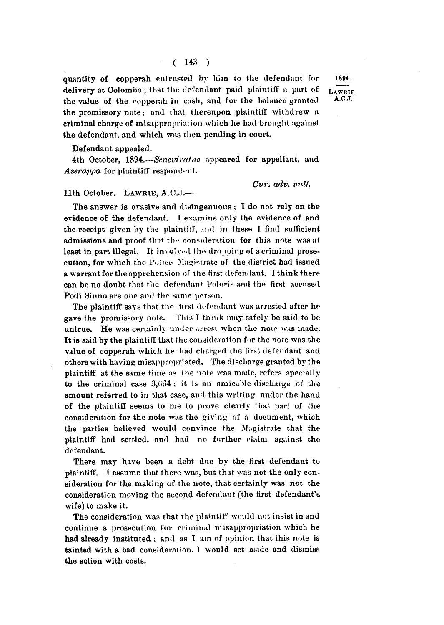**quantity of copperah entrusted by him to the defendant for** 1894. delivery at Colombo; that the defendant paid plaintiff a part of LAWRUE **the value of the copperah in cash, and for the balance granted** A.C.J. **the promissory note; and that thereupon plaintiff withdrew a criminal charge of misappropriation which he had brought against the defendant, and which was then pending in court.** 

**Defendant appealed.** 

**4th October, 1894.—***Snnevirntne* **appeared for appellant, and**  *Aserappa* **for plaintiff respondent.** 

*Cur. adv. vult.* 

## **11th October. LAWRIE , A.C.J.—**

**The answer is evasive and disingenuous ; I do not rely on the evidence of the defendant. I examine only the evidence of and the receipt given by the plaintiff, and in these I find sufficient admissions and proof tha t th <sup>e</sup> consideration for this note was at least in part illegal. It involved the dropping of a criminal prosecution, for which the i'oiice Magistrate of the district had issued**  a warrant for the apprehension of the first defendant. I think there **can be no doubt thnt the defendant Vohins and the first accused Podi Sinno are one and the same person.** 

**Tbe plaintiff says that the first defendant was arrested after he gave the promissory note. This I think may safely be said to be**  untrue. He was certainly under arrest when the note was made. **It is said by the plaintiff that the consideration for the note was the value of copperah which he had charged the first defendant and others with having misappropriated. The discharge granted by the plaintiff at the same time as the note was made, refers specially**  to the criminal case 3,664: it is an amicable discharge of the **amount referred to in that case, and this writing under the hand of the plaintiff seems to me to prove clearly that part of the consideration for the note was the giving of a document, which the parties believed would convince the Magistrate that the plaintiff had settled, and had no further claim against the defendant.** 

**There may have been a debt due by the first defendant to plaintiff. I assume that there was, but that was not the only consideration for the making of the note, that certainly was not the consideration moving the second defendant (the first defendant's wife) to make it.** 

**The consideration was that the plaintiff would not insist in and continue a prosecution for criminal misappropriation which he had already instituted ; and as I am of opinion that this note is tainted with a bad consideration, 1 would set aside and dismiss the action with costs.**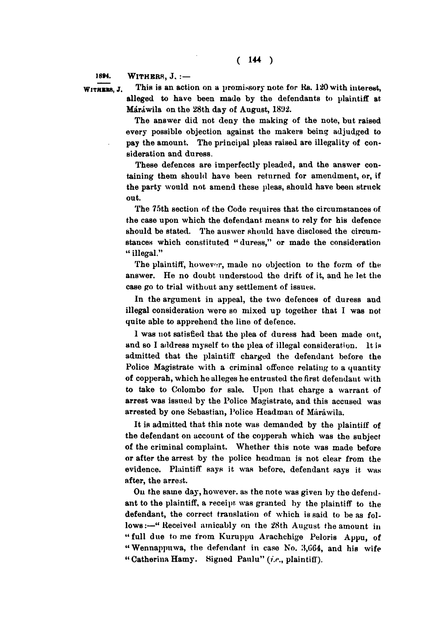**i8»4. WITHBES , J . : —** 

WITHERS, J. This is an action on a promissory note for Rs. 120 with interest, **alleged to have been made by the defendants to plaintiff at Marawila on the 28th day of August, 1892.** 

> **The answer did not deny the making of the note, but raised every possible objection against the makers being adjudged to pay the amount. The principal pleas raised are illegality of consideration and duress.**

> **These defences are imperfectly pleaded, and the answer containing them should have been returned for amendment, or, if the party would not amend these pleas, should have been struck out.**

> **The 75th section of the Code requires that the circumstances of the case upon which the defendant means to rely for his defence should be stated. The auswer should have disclosed the circumstances which constituted " duress," or made the consideration " illegal."**

> **The plaintiff, however, made no objection to the form of the answer. He no doubt understood the drift of it, and he let the case go to trial without any settlement of issues.**

> **In the argument in appeal, the two defences of duress and illegal consideration were so mixed up together that I was not quite able to apprehend the line of defence.**

> **1 was not satisfied that the plea of duress had been made out, and so I address myself to the plea of illegal consideration. It is admitted that the plaintiff charged the defendant before the Police Magistrate with a criminal offence relating to a quantity of copperah, which he alleges he entrusted the first defendant with to take to Colombo for sale. Upon that charge a warrant of**  arrest was issued by the Police Magistrate, and this accused was **arrested by one Sebastian, Police Headman of Marawila.**

> It is admitted that this note was demanded by the plaintiff of **the defendant on account of the copperah which was the subject of the criminal complaint. Whether this note was made before or after the arrest by the police headman is not clear from the evidence. Plaintiff says it was before, defendant says it was after, the arrest.**

> **On the same day, however, as the note was given by the defendant to the plaintiff, a receipt was granted by the plaintiff to the defendant, the correct translation of which is said to be as fol**lows:--"Received amicably on the 28th August the amount in **"full due tome from Kuruppu Arachchige Peloris Appu, of " Wennappuwa, the defendant in case No. iJ,(J64, and his wife**  " Catherina Hamy. Signed Panlu" (i.e., plaintiff).